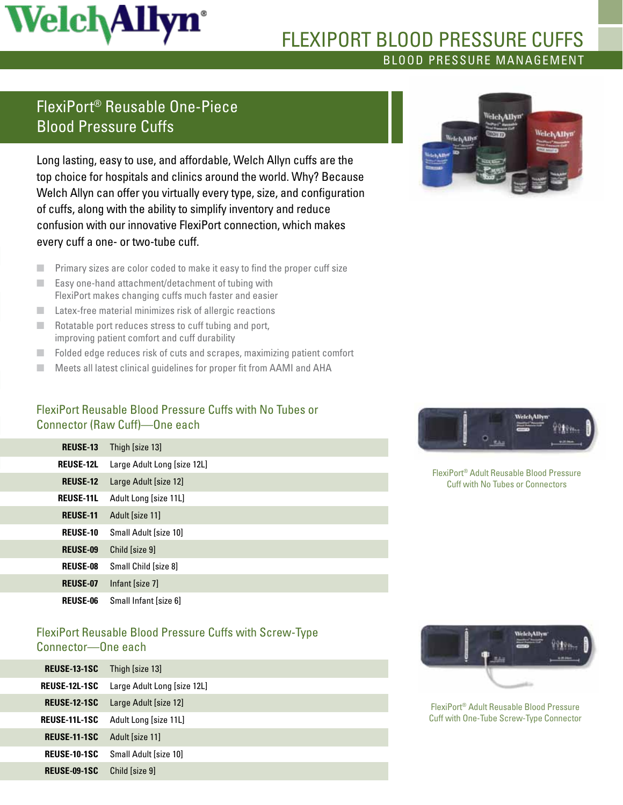# **Welch Allyn**<sup>\*</sup>

### Blood Pressure Management flexiport blood pressure cuffs

# FlexiPort® Reusable One-Piece Blood Pressure Cuffs

Long lasting, easy to use, and affordable, Welch Allyn cuffs are the top choice for hospitals and clinics around the world. Why? Because Welch Allyn can offer you virtually every type, size, and configuration of cuffs, along with the ability to simplify inventory and reduce confusion with our innovative FlexiPort connection, which makes every cuff a one- or two-tube cuff.

- Primary sizes are color coded to make it easy to find the proper cuff size
- Easy one-hand attachment/detachment of tubing with FlexiPort makes changing cuffs much faster and easier
- Latex-free material minimizes risk of allergic reactions
- Rotatable port reduces stress to cuff tubing and port, improving patient comfort and cuff durability
- Folded edge reduces risk of cuts and scrapes, maximizing patient comfort
- Meets all latest clinical guidelines for proper fit from AAMI and AHA

#### FlexiPort Reusable Blood Pressure Cuffs with No Tubes or Connector (Raw Cuff)—One each

| <b>REUSE-13</b>  | Thigh [size 13]             |
|------------------|-----------------------------|
| <b>REUSE-12L</b> | Large Adult Long [size 12L] |
| <b>REUSE-12</b>  | Large Adult [size 12]       |
| <b>REUSE-11L</b> | Adult Long [size 11L]       |
| <b>REUSE-11</b>  | Adult [size 11]             |
| <b>REUSE-10</b>  | Small Adult [size 10]       |
| <b>REUSE-09</b>  | Child [size 9]              |
| <b>REUSE-08</b>  | Small Child [size 8]        |
| <b>REUSE-07</b>  | Infant [size 7]             |
| <b>REUSE-06</b>  | Small Infant [size 6]       |

#### FlexiPort Reusable Blood Pressure Cuffs with Screw-Type Connector—One each

| <b>REUSE-13-1SC</b> | Thigh [size 13]             |
|---------------------|-----------------------------|
| REUSE-12L-1SC       | Large Adult Long [size 12L] |
| <b>REUSE-12-1SC</b> | Large Adult [size 12]       |
| REUSE-11L-1SC       | Adult Long [size 11L]       |
| <b>REUSE-11-1SC</b> | Adult [size 11]             |
| <b>REUSE-10-1SC</b> | Small Adult [size 10]       |
| <b>REUSE-09-1SC</b> | Child [size 9]              |
|                     |                             |





FlexiPort® Adult Reusable Blood Pressure Cuff with No Tubes or Connectors



FlexiPort® Adult Reusable Blood Pressure Cuff with One-Tube Screw-Type Connector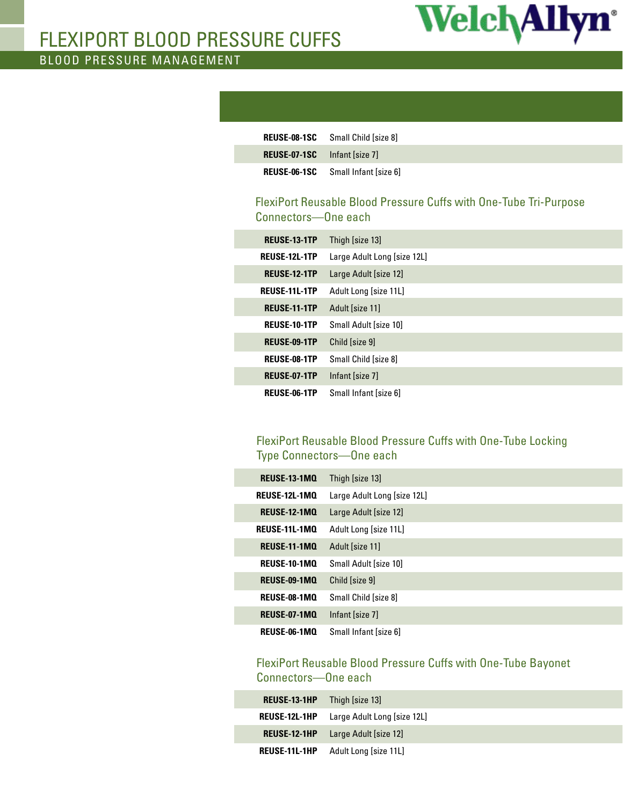

# flexiport blood pressure cuffs

Blood Pressure Management

|                                     | <b>REUSE-08-1SC</b> Small Child [size 8]  |
|-------------------------------------|-------------------------------------------|
| <b>REUSE-07-1SC</b> Infant [size 7] |                                           |
|                                     | <b>REUSE-06-1SC</b> Small Infant [size 6] |

#### FlexiPort Reusable Blood Pressure Cuffs with One-Tube Tri-Purpose Connectors—One each

| <b>REUSE-13-1TP</b>  | Thigh [size 13]             |
|----------------------|-----------------------------|
| <b>REUSE-12L-1TP</b> | Large Adult Long [size 12L] |
| <b>REUSE-12-1TP</b>  | Large Adult [size 12]       |
| <b>REUSE-11L-1TP</b> | Adult Long [size 11L]       |
| <b>REUSE-11-1TP</b>  | Adult [size 11]             |
| <b>REUSE-10-1TP</b>  | Small Adult [size 10]       |
| <b>REUSE-09-1TP</b>  | Child [size 9]              |
| <b>REUSE-08-1TP</b>  | Small Child [size 8]        |
| <b>REUSE-07-1TP</b>  | Infant [size 7]             |
| REUSE-06-1TP         | Small Infant [size 6]       |

#### FlexiPort Reusable Blood Pressure Cuffs with One-Tube Locking Type Connectors—One each

| <b>REUSE-13-1MQ</b>  | Thigh [size 13]             |
|----------------------|-----------------------------|
| <b>REUSE-12L-1MO</b> | Large Adult Long [size 12L] |
| <b>REUSE-12-1MO</b>  | Large Adult [size 12]       |
| <b>REUSE-11L-1MO</b> | Adult Long [size 11L]       |
| <b>REUSE-11-1MO</b>  | Adult [size 11]             |
| <b>REUSE-10-1MO</b>  | Small Adult [size 10]       |
| <b>REUSE-09-1MO</b>  | Child [size 9]              |
| <b>REUSE-08-1MO</b>  | Small Child [size 8]        |
| <b>REUSE-07-1MO</b>  | Infant [size 7]             |
| REUSE-06-1MO         | Small Infant [size 6]       |

#### FlexiPort Reusable Blood Pressure Cuffs with One-Tube Bayonet Connectors—One each

| <b>REUSE-13-1HP</b>  | Thigh [size 13]                                  |
|----------------------|--------------------------------------------------|
|                      | <b>REUSE-12L-1HP</b> Large Adult Long [size 12L] |
|                      | <b>REUSE-12-1HP</b> Large Adult [size 12]        |
| <b>REUSE-11L-1HP</b> | Adult Long [size 11L]                            |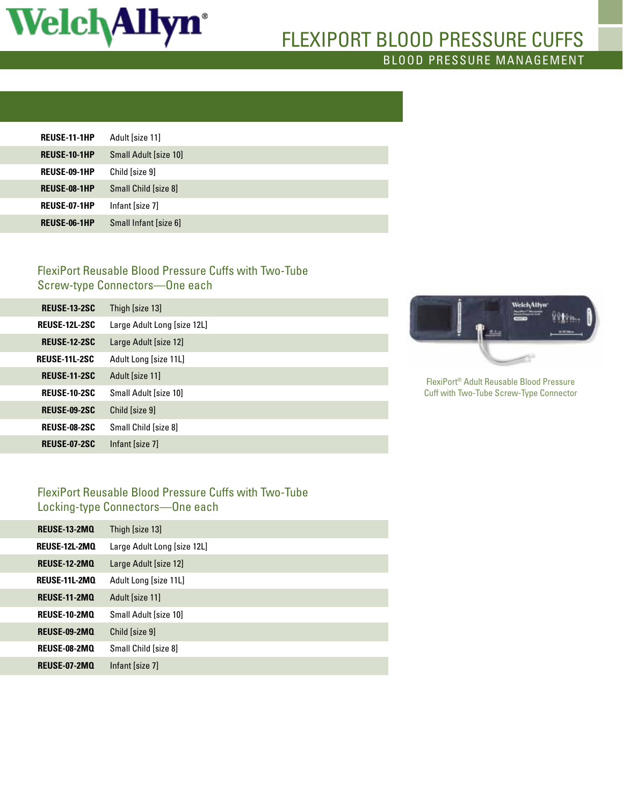

## Blood Pressure Management flexiport blood pressure cuffs

| <b>REUSE-11-1HP</b> | Adult [size 11]       |
|---------------------|-----------------------|
| <b>REUSE-10-1HP</b> | Small Adult [size 10] |
| <b>REUSE-09-1HP</b> | Child [size 9]        |
| <b>REUSE-08-1HP</b> | Small Child [size 8]  |
| <b>REUSE-07-1HP</b> | Infant [size 7]       |
| <b>REUSE-06-1HP</b> | Small Infant [size 6] |

#### FlexiPort Reusable Blood Pressure Cuffs with Two-Tube Screw-type Connectors—One each

| <b>REUSE-13-2SC</b>  | Thigh [size 13]             |
|----------------------|-----------------------------|
| <b>REUSE-12L-2SC</b> | Large Adult Long [size 12L] |
| <b>REUSE-12-2SC</b>  | Large Adult [size 12]       |
| <b>REUSE-11L-2SC</b> | Adult Long [size 11L]       |
| <b>REUSE-11-2SC</b>  | Adult [size 11]             |
| <b>REUSE-10-2SC</b>  | Small Adult [size 10]       |
| <b>REUSE-09-2SC</b>  | Child Isize 91              |
| <b>REUSE-08-2SC</b>  | Small Child [size 8]        |
| <b>REUSE-07-2SC</b>  | Infant [size 7]             |



FlexiPort® Adult Reusable Blood Pressure Cuff with Two-Tube Screw-Type Connector

#### FlexiPort Reusable Blood Pressure Cuffs with Two-Tube Locking-type Connectors—One each

| <b>REUSE-13-2MO</b>  | Thigh [size 13]             |
|----------------------|-----------------------------|
| <b>REUSE-12L-2MO</b> | Large Adult Long [size 12L] |
| <b>REUSE-12-2MO</b>  | Large Adult [size 12]       |
| <b>REUSE-11L-2MO</b> | Adult Long [size 11L]       |
| <b>REUSE-11-2MQ</b>  | Adult [size 11]             |
| <b>REUSE-10-2MO</b>  | Small Adult [size 10]       |
| <b>REUSE-09-2MO</b>  | Child [size 9]              |
| REUSE-08-2MQ         | Small Child [size 8]        |
| <b>REUSE-07-2MQ</b>  | Infant [size 7]             |